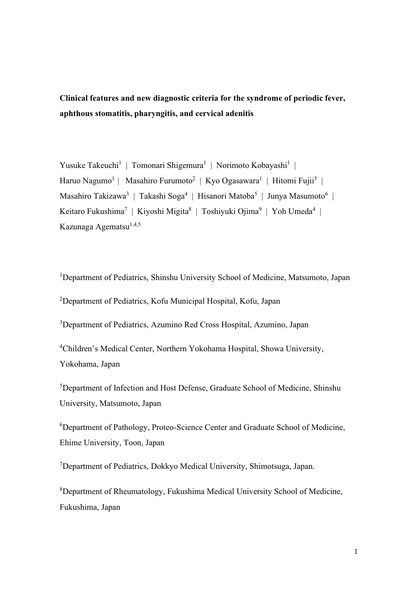Clinical features and new diagnostic criteria for the syndrome of periodic fever, aphthous stomatitis, pharyngitis, and cervical adenitis

Yusuke Takeuchi<sup>1</sup> | Tomonari Shigemura<sup>1</sup> | Norimoto Kobayashi<sup>1</sup> | Haruo Nagumo<sup>1</sup> | Masahiro Furumoto<sup>2</sup> | Kyo Ogasawara<sup>1</sup> | Hitomi Fujii<sup>3</sup> | Masahiro Takizawa<sup>3</sup> | Takashi Soga<sup>4</sup> | Hisanori Matoba<sup>5</sup> | Junya Masumoto<sup>6</sup> | Keitaro Fukushima<sup>7</sup> | Kiyoshi Migita<sup>8</sup> | Toshiyuki Ojima<sup>9</sup> | Yoh Umeda<sup>4</sup> | Kazunaga Agematsu<sup>1,4,5</sup>

<sup>1</sup>Department of Pediatrics, Shinshu University School of Medicine, Matsumoto, Japan 2 Department of Pediatrics, Kofu Municipal Hospital, Kofu, Japan

<sup>3</sup>Department of Pediatrics, Azumino Red Cross Hospital, Azumino, Japan

4 Children's Medical Center, Northern Yokohama Hospital, Showa University, Yokohama, Japan

5 Department of Infection and Host Defense, Graduate School of Medicine, Shinshu University, Matsumoto, Japan

<sup>6</sup>Department of Pathology, Proteo-Science Center and Graduate School of Medicine, Ehime University, Toon, Japan

7 Department of Pediatrics, Dokkyo Medical University, Shimotsuga, Japan.

8 Department of Rheumatology, Fukushima Medical University School of Medicine, Fukushima, Japan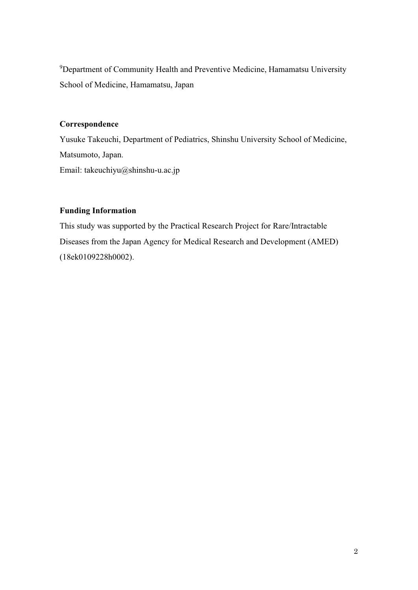<sup>9</sup>Department of Community Health and Preventive Medicine, Hamamatsu University School of Medicine, Hamamatsu, Japan

# Correspondence

Yusuke Takeuchi, Department of Pediatrics, Shinshu University School of Medicine, Matsumoto, Japan. Email: takeuchiyu@shinshu-u.ac.jp

# Funding Information

This study was supported by the Practical Research Project for Rare/Intractable Diseases from the Japan Agency for Medical Research and Development (AMED) (18ek0109228h0002).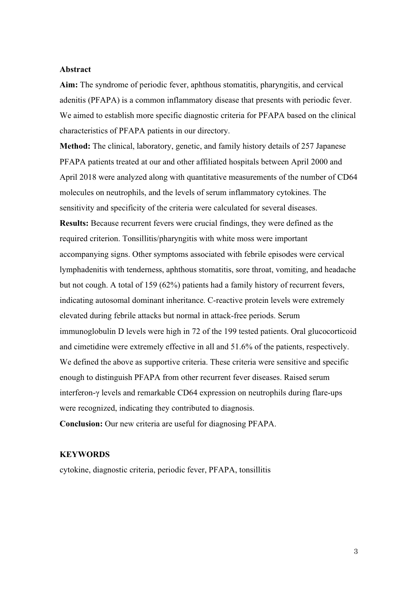### Abstract

Aim: The syndrome of periodic fever, aphthous stomatitis, pharyngitis, and cervical adenitis (PFAPA) is a common inflammatory disease that presents with periodic fever. We aimed to establish more specific diagnostic criteria for PFAPA based on the clinical characteristics of PFAPA patients in our directory.

Method: The clinical, laboratory, genetic, and family history details of 257 Japanese PFAPA patients treated at our and other affiliated hospitals between April 2000 and April 2018 were analyzed along with quantitative measurements of the number of CD64 molecules on neutrophils, and the levels of serum inflammatory cytokines. The sensitivity and specificity of the criteria were calculated for several diseases. Results: Because recurrent fevers were crucial findings, they were defined as the required criterion. Tonsillitis/pharyngitis with white moss were important accompanying signs. Other symptoms associated with febrile episodes were cervical lymphadenitis with tenderness, aphthous stomatitis, sore throat, vomiting, and headache but not cough. A total of 159 (62%) patients had a family history of recurrent fevers, indicating autosomal dominant inheritance. C-reactive protein levels were extremely elevated during febrile attacks but normal in attack-free periods. Serum immunoglobulin D levels were high in 72 of the 199 tested patients. Oral glucocorticoid and cimetidine were extremely effective in all and 51.6% of the patients, respectively. We defined the above as supportive criteria. These criteria were sensitive and specific enough to distinguish PFAPA from other recurrent fever diseases. Raised serum interferon-γ levels and remarkable CD64 expression on neutrophils during flare-ups were recognized, indicating they contributed to diagnosis.

Conclusion: Our new criteria are useful for diagnosing PFAPA.

### **KEYWORDS**

cytokine, diagnostic criteria, periodic fever, PFAPA, tonsillitis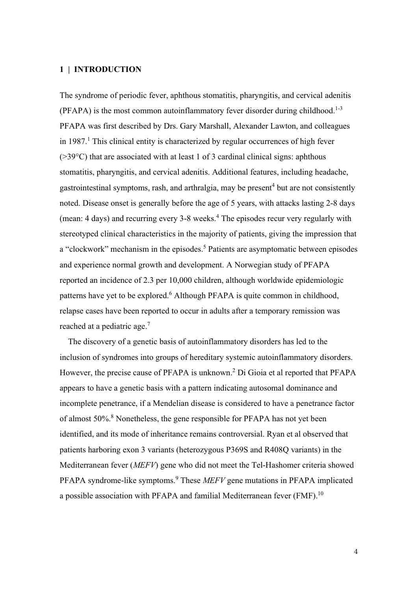## 1 | INTRODUCTION

The syndrome of periodic fever, aphthous stomatitis, pharyngitis, and cervical adenitis  $(PFAPA)$  is the most common autoinflammatory fever disorder during childhood.<sup>1-3</sup> PFAPA was first described by Drs. Gary Marshall, Alexander Lawton, and colleagues in 1987.<sup>1</sup> This clinical entity is characterized by regular occurrences of high fever (>39°C) that are associated with at least 1 of 3 cardinal clinical signs: aphthous stomatitis, pharyngitis, and cervical adenitis. Additional features, including headache, gastrointestinal symptoms, rash, and arthralgia, may be present<sup>4</sup> but are not consistently noted. Disease onset is generally before the age of 5 years, with attacks lasting 2-8 days (mean: 4 days) and recurring every 3-8 weeks.<sup>4</sup> The episodes recur very regularly with stereotyped clinical characteristics in the majority of patients, giving the impression that a "clockwork" mechanism in the episodes.<sup>5</sup> Patients are asymptomatic between episodes and experience normal growth and development. A Norwegian study of PFAPA reported an incidence of 2.3 per 10,000 children, although worldwide epidemiologic patterns have yet to be explored.<sup>6</sup> Although PFAPA is quite common in childhood, relapse cases have been reported to occur in adults after a temporary remission was reached at a pediatric age.7

The discovery of a genetic basis of autoinflammatory disorders has led to the inclusion of syndromes into groups of hereditary systemic autoinflammatory disorders. However, the precise cause of PFAPA is unknown.<sup>2</sup> Di Gioia et al reported that PFAPA appears to have a genetic basis with a pattern indicating autosomal dominance and incomplete penetrance, if a Mendelian disease is considered to have a penetrance factor of almost 50%.<sup>8</sup> Nonetheless, the gene responsible for PFAPA has not yet been identified, and its mode of inheritance remains controversial. Ryan et al observed that patients harboring exon 3 variants (heterozygous P369S and R408Q variants) in the Mediterranean fever (MEFV) gene who did not meet the Tel-Hashomer criteria showed PFAPA syndrome-like symptoms. $9$  These *MEFV* gene mutations in PFAPA implicated a possible association with PFAPA and familial Mediterranean fever (FMF).<sup>10</sup>

4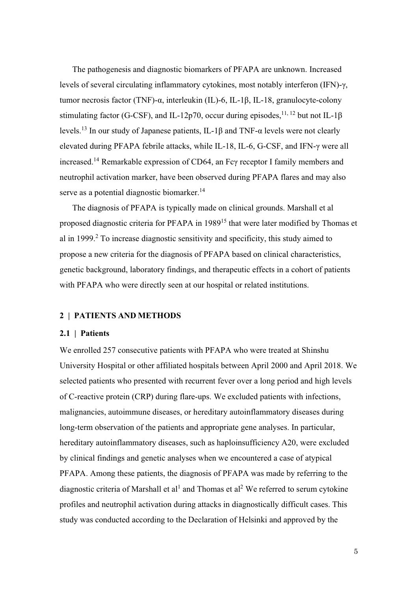The pathogenesis and diagnostic biomarkers of PFAPA are unknown. Increased levels of several circulating inflammatory cytokines, most notably interferon (IFN)-γ, tumor necrosis factor (TNF)-α, interleukin (IL)-6, IL-1β, IL-18, granulocyte-colony stimulating factor (G-CSF), and IL-12p70, occur during episodes,<sup>11, 12</sup> but not IL-1 $\beta$ levels.13 In our study of Japanese patients, IL-1β and TNF-α levels were not clearly elevated during PFAPA febrile attacks, while IL-18, IL-6, G-CSF, and IFN-γ were all increased.14 Remarkable expression of CD64, an Fcγ receptor I family members and neutrophil activation marker, have been observed during PFAPA flares and may also serve as a potential diagnostic biomarker.<sup>14</sup>

The diagnosis of PFAPA is typically made on clinical grounds. Marshall et al proposed diagnostic criteria for PFAPA in 1989<sup>15</sup> that were later modified by Thomas et al in 1999.<sup>2</sup> To increase diagnostic sensitivity and specificity, this study aimed to propose a new criteria for the diagnosis of PFAPA based on clinical characteristics, genetic background, laboratory findings, and therapeutic effects in a cohort of patients with PFAPA who were directly seen at our hospital or related institutions.

## 2 | PATIENTS AND METHODS

### 2.1 | Patients

We enrolled 257 consecutive patients with PFAPA who were treated at Shinshu University Hospital or other affiliated hospitals between April 2000 and April 2018. We selected patients who presented with recurrent fever over a long period and high levels of C-reactive protein (CRP) during flare-ups. We excluded patients with infections, malignancies, autoimmune diseases, or hereditary autoinflammatory diseases during long-term observation of the patients and appropriate gene analyses. In particular, hereditary autoinflammatory diseases, such as haploinsufficiency A20, were excluded by clinical findings and genetic analyses when we encountered a case of atypical PFAPA. Among these patients, the diagnosis of PFAPA was made by referring to the diagnostic criteria of Marshall et al<sup>1</sup> and Thomas et al<sup>2</sup> We referred to serum cytokine profiles and neutrophil activation during attacks in diagnostically difficult cases. This study was conducted according to the Declaration of Helsinki and approved by the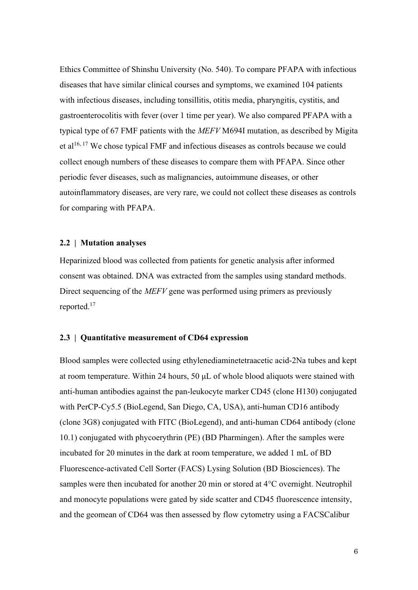Ethics Committee of Shinshu University (No. 540). To compare PFAPA with infectious diseases that have similar clinical courses and symptoms, we examined 104 patients with infectious diseases, including tonsillitis, otitis media, pharyngitis, cystitis, and gastroenterocolitis with fever (over 1 time per year). We also compared PFAPA with a typical type of 67 FMF patients with the MEFV M694I mutation, as described by Migita et al<sup>16, 17</sup> We chose typical FMF and infectious diseases as controls because we could collect enough numbers of these diseases to compare them with PFAPA. Since other periodic fever diseases, such as malignancies, autoimmune diseases, or other autoinflammatory diseases, are very rare, we could not collect these diseases as controls for comparing with PFAPA.

#### 2.2 | Mutation analyses

Heparinized blood was collected from patients for genetic analysis after informed consent was obtained. DNA was extracted from the samples using standard methods. Direct sequencing of the *MEFV* gene was performed using primers as previously reported.17

#### 2.3 | Quantitative measurement of CD64 expression

Blood samples were collected using ethylenediaminetetraacetic acid-2Na tubes and kept at room temperature. Within 24 hours, 50 μL of whole blood aliquots were stained with anti-human antibodies against the pan-leukocyte marker CD45 (clone H130) conjugated with PerCP-Cy5.5 (BioLegend, San Diego, CA, USA), anti-human CD16 antibody (clone 3G8) conjugated with FITC (BioLegend), and anti-human CD64 antibody (clone 10.1) conjugated with phycoerythrin (PE) (BD Pharmingen). After the samples were incubated for 20 minutes in the dark at room temperature, we added 1 mL of BD Fluorescence-activated Cell Sorter (FACS) Lysing Solution (BD Biosciences). The samples were then incubated for another 20 min or stored at 4°C overnight. Neutrophil and monocyte populations were gated by side scatter and CD45 fluorescence intensity, and the geomean of CD64 was then assessed by flow cytometry using a FACSCalibur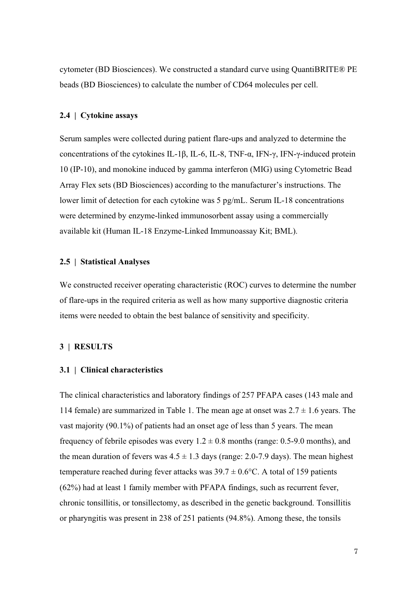cytometer (BD Biosciences). We constructed a standard curve using QuantiBRITE® PE beads (BD Biosciences) to calculate the number of CD64 molecules per cell.

#### 2.4 | Cytokine assays

Serum samples were collected during patient flare-ups and analyzed to determine the concentrations of the cytokines IL-1β, IL-6, IL-8, TNF-α, IFN-γ, IFN-γ-induced protein 10 (IP-10), and monokine induced by gamma interferon (MIG) using Cytometric Bead Array Flex sets (BD Biosciences) according to the manufacturer's instructions. The lower limit of detection for each cytokine was 5 pg/mL. Serum IL-18 concentrations were determined by enzyme-linked immunosorbent assay using a commercially available kit (Human IL-18 Enzyme-Linked Immunoassay Kit; BML).

### 2.5 | Statistical Analyses

We constructed receiver operating characteristic (ROC) curves to determine the number of flare-ups in the required criteria as well as how many supportive diagnostic criteria items were needed to obtain the best balance of sensitivity and specificity.

#### 3 | RESULTS

#### 3.1 | Clinical characteristics

The clinical characteristics and laboratory findings of 257 PFAPA cases (143 male and 114 female) are summarized in Table 1. The mean age at onset was  $2.7 \pm 1.6$  years. The vast majority (90.1%) of patients had an onset age of less than 5 years. The mean frequency of febrile episodes was every  $1.2 \pm 0.8$  months (range: 0.5-9.0 months), and the mean duration of fevers was  $4.5 \pm 1.3$  days (range: 2.0-7.9 days). The mean highest temperature reached during fever attacks was  $39.7 \pm 0.6$ °C. A total of 159 patients (62%) had at least 1 family member with PFAPA findings, such as recurrent fever, chronic tonsillitis, or tonsillectomy, as described in the genetic background. Tonsillitis or pharyngitis was present in 238 of 251 patients (94.8%). Among these, the tonsils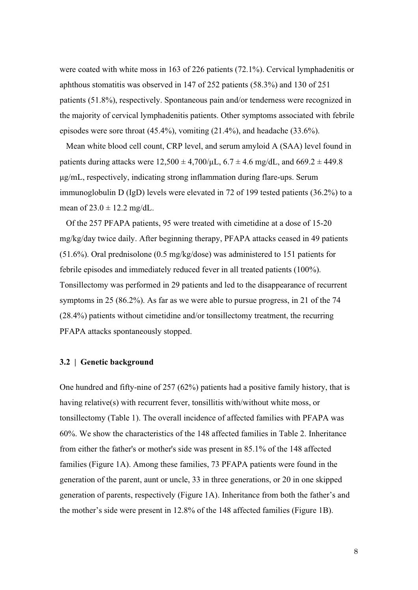were coated with white moss in 163 of 226 patients (72.1%). Cervical lymphadenitis or aphthous stomatitis was observed in 147 of 252 patients (58.3%) and 130 of 251 patients (51.8%), respectively. Spontaneous pain and/or tenderness were recognized in the majority of cervical lymphadenitis patients. Other symptoms associated with febrile episodes were sore throat  $(45.4\%)$ , vomiting  $(21.4\%)$ , and headache  $(33.6\%)$ .

 Mean white blood cell count, CRP level, and serum amyloid A (SAA) level found in patients during attacks were  $12{,}500 \pm 4{,}700/\mu$ L,  $6.7 \pm 4.6$  mg/dL, and  $669.2 \pm 449.8$ μg/mL, respectively, indicating strong inflammation during flare-ups. Serum immunoglobulin D (IgD) levels were elevated in 72 of 199 tested patients (36.2%) to a mean of  $23.0 \pm 12.2$  mg/dL.

 Of the 257 PFAPA patients, 95 were treated with cimetidine at a dose of 15-20 mg/kg/day twice daily. After beginning therapy, PFAPA attacks ceased in 49 patients (51.6%). Oral prednisolone (0.5 mg/kg/dose) was administered to 151 patients for febrile episodes and immediately reduced fever in all treated patients (100%). Tonsillectomy was performed in 29 patients and led to the disappearance of recurrent symptoms in 25 (86.2%). As far as we were able to pursue progress, in 21 of the 74 (28.4%) patients without cimetidine and/or tonsillectomy treatment, the recurring PFAPA attacks spontaneously stopped.

### 3.2 | Genetic background

One hundred and fifty-nine of 257 (62%) patients had a positive family history, that is having relative(s) with recurrent fever, tonsillitis with/without white moss, or tonsillectomy (Table 1). The overall incidence of affected families with PFAPA was 60%. We show the characteristics of the 148 affected families in Table 2. Inheritance from either the father's or mother's side was present in 85.1% of the 148 affected families (Figure 1A). Among these families, 73 PFAPA patients were found in the generation of the parent, aunt or uncle, 33 in three generations, or 20 in one skipped generation of parents, respectively (Figure 1A). Inheritance from both the father's and the mother's side were present in 12.8% of the 148 affected families (Figure 1B).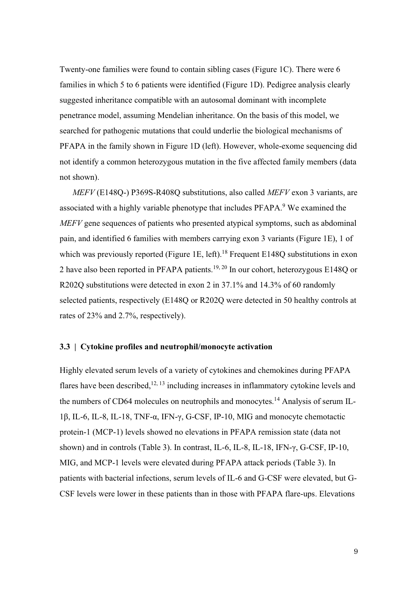Twenty-one families were found to contain sibling cases (Figure 1C). There were 6 families in which 5 to 6 patients were identified (Figure 1D). Pedigree analysis clearly suggested inheritance compatible with an autosomal dominant with incomplete penetrance model, assuming Mendelian inheritance. On the basis of this model, we searched for pathogenic mutations that could underlie the biological mechanisms of PFAPA in the family shown in Figure 1D (left). However, whole-exome sequencing did not identify a common heterozygous mutation in the five affected family members (data not shown).

MEFV (E148Q-) P369S-R408Q substitutions, also called MEFV exon 3 variants, are associated with a highly variable phenotype that includes PFAPA.<sup>9</sup> We examined the MEFV gene sequences of patients who presented atypical symptoms, such as abdominal pain, and identified 6 families with members carrying exon 3 variants (Figure 1E), 1 of which was previously reported (Figure 1E, left).<sup>18</sup> Frequent E148Q substitutions in exon 2 have also been reported in PFAPA patients.19, 20 In our cohort, heterozygous E148Q or R202Q substitutions were detected in exon 2 in 37.1% and 14.3% of 60 randomly selected patients, respectively (E148Q or R202Q were detected in 50 healthy controls at rates of 23% and 2.7%, respectively).

### 3.3 | Cytokine profiles and neutrophil/monocyte activation

Highly elevated serum levels of a variety of cytokines and chemokines during PFAPA flares have been described, $12, 13$  including increases in inflammatory cytokine levels and the numbers of CD64 molecules on neutrophils and monocytes.<sup>14</sup> Analysis of serum IL-1β, IL-6, IL-8, IL-18, TNF-α, IFN-γ, G-CSF, IP-10, MIG and monocyte chemotactic protein-1 (MCP-1) levels showed no elevations in PFAPA remission state (data not shown) and in controls (Table 3). In contrast, IL-6, IL-8, IL-18, IFN-γ, G-CSF, IP-10, MIG, and MCP-1 levels were elevated during PFAPA attack periods (Table 3). In patients with bacterial infections, serum levels of IL-6 and G-CSF were elevated, but G-CSF levels were lower in these patients than in those with PFAPA flare-ups. Elevations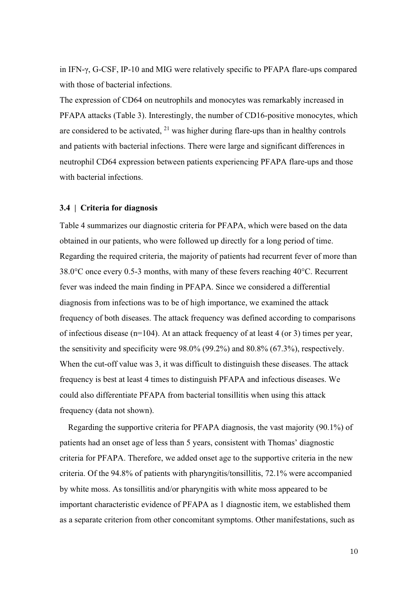in IFN-γ, G-CSF, IP-10 and MIG were relatively specific to PFAPA flare-ups compared with those of bacterial infections.

The expression of CD64 on neutrophils and monocytes was remarkably increased in PFAPA attacks (Table 3). Interestingly, the number of CD16-positive monocytes, which are considered to be activated,  $^{21}$  was higher during flare-ups than in healthy controls and patients with bacterial infections. There were large and significant differences in neutrophil CD64 expression between patients experiencing PFAPA flare-ups and those with bacterial infections.

#### 3.4 | Criteria for diagnosis

Table 4 summarizes our diagnostic criteria for PFAPA, which were based on the data obtained in our patients, who were followed up directly for a long period of time. Regarding the required criteria, the majority of patients had recurrent fever of more than 38.0°C once every 0.5-3 months, with many of these fevers reaching 40°C. Recurrent fever was indeed the main finding in PFAPA. Since we considered a differential diagnosis from infections was to be of high importance, we examined the attack frequency of both diseases. The attack frequency was defined according to comparisons of infectious disease (n=104). At an attack frequency of at least 4 (or 3) times per year, the sensitivity and specificity were 98.0% (99.2%) and 80.8% (67.3%), respectively. When the cut-off value was 3, it was difficult to distinguish these diseases. The attack frequency is best at least 4 times to distinguish PFAPA and infectious diseases. We could also differentiate PFAPA from bacterial tonsillitis when using this attack frequency (data not shown).

 Regarding the supportive criteria for PFAPA diagnosis, the vast majority (90.1%) of patients had an onset age of less than 5 years, consistent with Thomas' diagnostic criteria for PFAPA. Therefore, we added onset age to the supportive criteria in the new criteria. Of the 94.8% of patients with pharyngitis/tonsillitis, 72.1% were accompanied by white moss. As tonsillitis and/or pharyngitis with white moss appeared to be important characteristic evidence of PFAPA as 1 diagnostic item, we established them as a separate criterion from other concomitant symptoms. Other manifestations, such as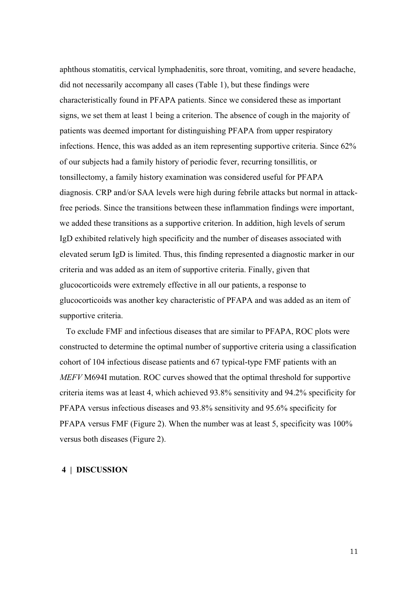aphthous stomatitis, cervical lymphadenitis, sore throat, vomiting, and severe headache, did not necessarily accompany all cases (Table 1), but these findings were characteristically found in PFAPA patients. Since we considered these as important signs, we set them at least 1 being a criterion. The absence of cough in the majority of patients was deemed important for distinguishing PFAPA from upper respiratory infections. Hence, this was added as an item representing supportive criteria. Since 62% of our subjects had a family history of periodic fever, recurring tonsillitis, or tonsillectomy, a family history examination was considered useful for PFAPA diagnosis. CRP and/or SAA levels were high during febrile attacks but normal in attackfree periods. Since the transitions between these inflammation findings were important, we added these transitions as a supportive criterion. In addition, high levels of serum IgD exhibited relatively high specificity and the number of diseases associated with elevated serum IgD is limited. Thus, this finding represented a diagnostic marker in our criteria and was added as an item of supportive criteria. Finally, given that glucocorticoids were extremely effective in all our patients, a response to glucocorticoids was another key characteristic of PFAPA and was added as an item of supportive criteria.

 To exclude FMF and infectious diseases that are similar to PFAPA, ROC plots were constructed to determine the optimal number of supportive criteria using a classification cohort of 104 infectious disease patients and 67 typical-type FMF patients with an MEFV M694I mutation. ROC curves showed that the optimal threshold for supportive criteria items was at least 4, which achieved 93.8% sensitivity and 94.2% specificity for PFAPA versus infectious diseases and 93.8% sensitivity and 95.6% specificity for PFAPA versus FMF (Figure 2). When the number was at least 5, specificity was 100% versus both diseases (Figure 2).

#### 4 | DISCUSSION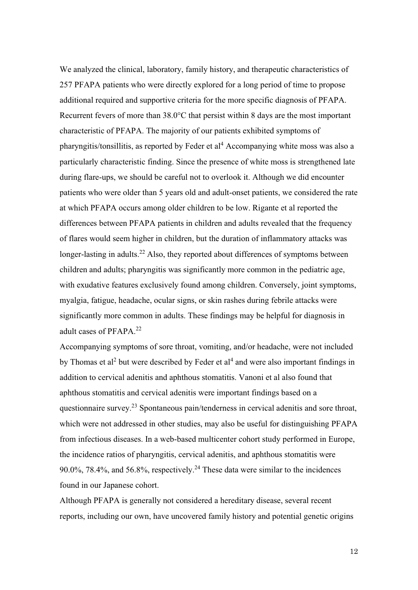We analyzed the clinical, laboratory, family history, and therapeutic characteristics of 257 PFAPA patients who were directly explored for a long period of time to propose additional required and supportive criteria for the more specific diagnosis of PFAPA. Recurrent fevers of more than 38.0°C that persist within 8 days are the most important characteristic of PFAPA. The majority of our patients exhibited symptoms of pharyngitis/tonsillitis, as reported by Feder et al<sup>4</sup> Accompanying white moss was also a particularly characteristic finding. Since the presence of white moss is strengthened late during flare-ups, we should be careful not to overlook it. Although we did encounter patients who were older than 5 years old and adult-onset patients, we considered the rate at which PFAPA occurs among older children to be low. Rigante et al reported the differences between PFAPA patients in children and adults revealed that the frequency of flares would seem higher in children, but the duration of inflammatory attacks was longer-lasting in adults.<sup>22</sup> Also, they reported about differences of symptoms between children and adults; pharyngitis was significantly more common in the pediatric age, with exudative features exclusively found among children. Conversely, joint symptoms, myalgia, fatigue, headache, ocular signs, or skin rashes during febrile attacks were significantly more common in adults. These findings may be helpful for diagnosis in adult cases of PFAPA.<sup>22</sup>

Accompanying symptoms of sore throat, vomiting, and/or headache, were not included by Thomas et al<sup>2</sup> but were described by Feder et al<sup>4</sup> and were also important findings in addition to cervical adenitis and aphthous stomatitis. Vanoni et al also found that aphthous stomatitis and cervical adenitis were important findings based on a questionnaire survey.<sup>23</sup> Spontaneous pain/tenderness in cervical adenitis and sore throat, which were not addressed in other studies, may also be useful for distinguishing PFAPA from infectious diseases. In a web-based multicenter cohort study performed in Europe, the incidence ratios of pharyngitis, cervical adenitis, and aphthous stomatitis were 90.0%, 78.4%, and 56.8%, respectively.<sup>24</sup> These data were similar to the incidences found in our Japanese cohort.

Although PFAPA is generally not considered a hereditary disease, several recent reports, including our own, have uncovered family history and potential genetic origins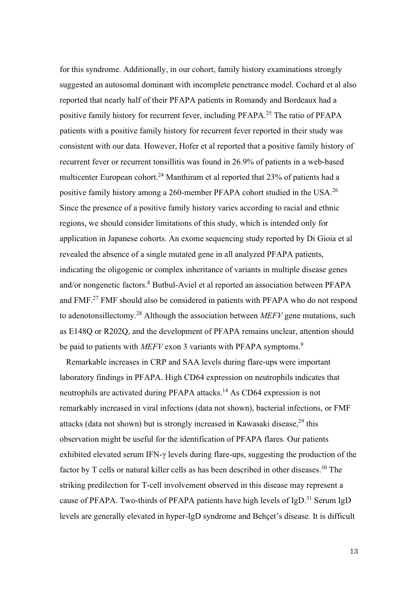for this syndrome. Additionally, in our cohort, family history examinations strongly suggested an autosomal dominant with incomplete penetrance model. Cochard et al also reported that nearly half of their PFAPA patients in Romandy and Bordeaux had a positive family history for recurrent fever, including PFAPA.25 The ratio of PFAPA patients with a positive family history for recurrent fever reported in their study was consistent with our data. However, Hofer et al reported that a positive family history of recurrent fever or recurrent tonsillitis was found in 26.9% of patients in a web-based multicenter European cohort.<sup>24</sup> Manthiram et al reported that  $23\%$  of patients had a positive family history among a 260-member PFAPA cohort studied in the USA.26 Since the presence of a positive family history varies according to racial and ethnic regions, we should consider limitations of this study, which is intended only for application in Japanese cohorts. An exome sequencing study reported by Di Gioia et al revealed the absence of a single mutated gene in all analyzed PFAPA patients, indicating the oligogenic or complex inheritance of variants in multiple disease genes and/or nongenetic factors.<sup>8</sup> Butbul-Aviel et al reported an association between PFAPA and FMF.27 FMF should also be considered in patients with PFAPA who do not respond to adenotonsillectomy.<sup>28</sup> Although the association between  $MEFV$  gene mutations, such as E148Q or R202Q, and the development of PFAPA remains unclear, attention should be paid to patients with  $MEFV$  exon 3 variants with PFAPA symptoms.<sup>9</sup>

 Remarkable increases in CRP and SAA levels during flare-ups were important laboratory findings in PFAPA. High CD64 expression on neutrophils indicates that neutrophils are activated during PFAPA attacks.<sup>14</sup> As CD64 expression is not remarkably increased in viral infections (data not shown), bacterial infections, or FMF attacks (data not shown) but is strongly increased in Kawasaki disease, $^{29}$  this observation might be useful for the identification of PFAPA flares. Our patients exhibited elevated serum IFN-γ levels during flare-ups, suggesting the production of the factor by T cells or natural killer cells as has been described in other diseases.<sup>30</sup> The striking predilection for T-cell involvement observed in this disease may represent a cause of PFAPA. Two-thirds of PFAPA patients have high levels of  $IgD<sup>31</sup>$  Serum IgD levels are generally elevated in hyper-IgD syndrome and Behçet's disease. It is difficult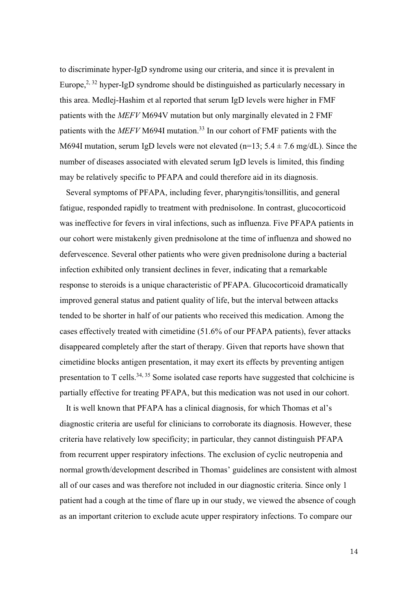to discriminate hyper-IgD syndrome using our criteria, and since it is prevalent in Europe,<sup>2, 32</sup> hyper-IgD syndrome should be distinguished as particularly necessary in this area. Medlej-Hashim et al reported that serum IgD levels were higher in FMF patients with the MEFV M694V mutation but only marginally elevated in 2 FMF patients with the  $MEFV$  M694I mutation.<sup>33</sup> In our cohort of FMF patients with the M694I mutation, serum IgD levels were not elevated (n=13;  $5.4 \pm 7.6$  mg/dL). Since the number of diseases associated with elevated serum IgD levels is limited, this finding may be relatively specific to PFAPA and could therefore aid in its diagnosis.

 Several symptoms of PFAPA, including fever, pharyngitis/tonsillitis, and general fatigue, responded rapidly to treatment with prednisolone. In contrast, glucocorticoid was ineffective for fevers in viral infections, such as influenza. Five PFAPA patients in our cohort were mistakenly given prednisolone at the time of influenza and showed no defervescence. Several other patients who were given prednisolone during a bacterial infection exhibited only transient declines in fever, indicating that a remarkable response to steroids is a unique characteristic of PFAPA. Glucocorticoid dramatically improved general status and patient quality of life, but the interval between attacks tended to be shorter in half of our patients who received this medication. Among the cases effectively treated with cimetidine (51.6% of our PFAPA patients), fever attacks disappeared completely after the start of therapy. Given that reports have shown that cimetidine blocks antigen presentation, it may exert its effects by preventing antigen presentation to T cells.<sup>34, 35</sup> Some isolated case reports have suggested that colchicine is partially effective for treating PFAPA, but this medication was not used in our cohort.

 It is well known that PFAPA has a clinical diagnosis, for which Thomas et al's diagnostic criteria are useful for clinicians to corroborate its diagnosis. However, these criteria have relatively low specificity; in particular, they cannot distinguish PFAPA from recurrent upper respiratory infections. The exclusion of cyclic neutropenia and normal growth/development described in Thomas' guidelines are consistent with almost all of our cases and was therefore not included in our diagnostic criteria. Since only 1 patient had a cough at the time of flare up in our study, we viewed the absence of cough as an important criterion to exclude acute upper respiratory infections. To compare our

14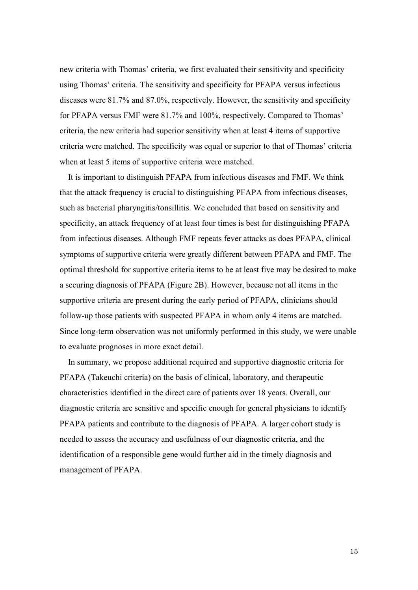new criteria with Thomas' criteria, we first evaluated their sensitivity and specificity using Thomas' criteria. The sensitivity and specificity for PFAPA versus infectious diseases were 81.7% and 87.0%, respectively. However, the sensitivity and specificity for PFAPA versus FMF were 81.7% and 100%, respectively. Compared to Thomas' criteria, the new criteria had superior sensitivity when at least 4 items of supportive criteria were matched. The specificity was equal or superior to that of Thomas' criteria when at least 5 items of supportive criteria were matched.

It is important to distinguish PFAPA from infectious diseases and FMF. We think that the attack frequency is crucial to distinguishing PFAPA from infectious diseases, such as bacterial pharyngitis/tonsillitis. We concluded that based on sensitivity and specificity, an attack frequency of at least four times is best for distinguishing PFAPA from infectious diseases. Although FMF repeats fever attacks as does PFAPA, clinical symptoms of supportive criteria were greatly different between PFAPA and FMF. The optimal threshold for supportive criteria items to be at least five may be desired to make a securing diagnosis of PFAPA (Figure 2B). However, because not all items in the supportive criteria are present during the early period of PFAPA, clinicians should follow-up those patients with suspected PFAPA in whom only 4 items are matched. Since long-term observation was not uniformly performed in this study, we were unable to evaluate prognoses in more exact detail.

In summary, we propose additional required and supportive diagnostic criteria for PFAPA (Takeuchi criteria) on the basis of clinical, laboratory, and therapeutic characteristics identified in the direct care of patients over 18 years. Overall, our diagnostic criteria are sensitive and specific enough for general physicians to identify PFAPA patients and contribute to the diagnosis of PFAPA. A larger cohort study is needed to assess the accuracy and usefulness of our diagnostic criteria, and the identification of a responsible gene would further aid in the timely diagnosis and management of PFAPA.

15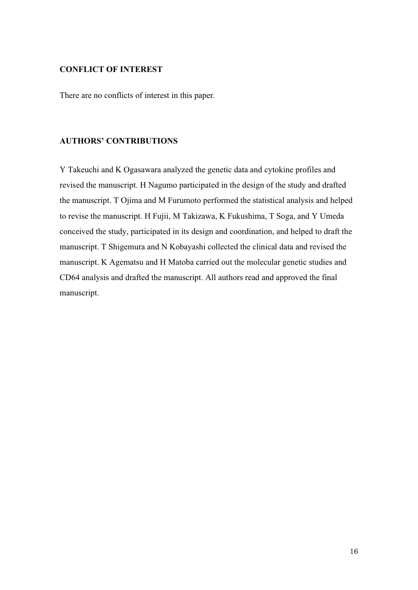## CONFLICT OF INTEREST

There are no conflicts of interest in this paper.

### AUTHORS' CONTRIBUTIONS

Y Takeuchi and K Ogasawara analyzed the genetic data and cytokine profiles and revised the manuscript. H Nagumo participated in the design of the study and drafted the manuscript. T Ojima and M Furumoto performed the statistical analysis and helped to revise the manuscript. H Fujii, M Takizawa, K Fukushima, T Soga, and Y Umeda conceived the study, participated in its design and coordination, and helped to draft the manuscript. T Shigemura and N Kobayashi collected the clinical data and revised the manuscript. K Agematsu and H Matoba carried out the molecular genetic studies and CD64 analysis and drafted the manuscript. All authors read and approved the final manuscript.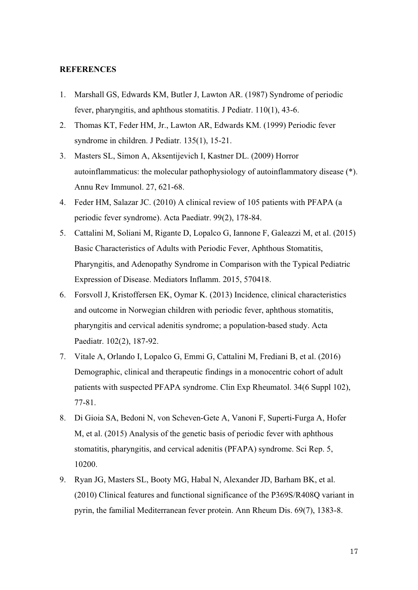### **REFERENCES**

- 1. Marshall GS, Edwards KM, Butler J, Lawton AR. (1987) Syndrome of periodic fever, pharyngitis, and aphthous stomatitis. J Pediatr. 110(1), 43-6.
- 2. Thomas KT, Feder HM, Jr., Lawton AR, Edwards KM. (1999) Periodic fever syndrome in children. J Pediatr. 135(1), 15-21.
- 3. Masters SL, Simon A, Aksentijevich I, Kastner DL. (2009) Horror autoinflammaticus: the molecular pathophysiology of autoinflammatory disease (\*). Annu Rev Immunol. 27, 621-68.
- 4. Feder HM, Salazar JC. (2010) A clinical review of 105 patients with PFAPA (a periodic fever syndrome). Acta Paediatr. 99(2), 178-84.
- 5. Cattalini M, Soliani M, Rigante D, Lopalco G, Iannone F, Galeazzi M, et al. (2015) Basic Characteristics of Adults with Periodic Fever, Aphthous Stomatitis, Pharyngitis, and Adenopathy Syndrome in Comparison with the Typical Pediatric Expression of Disease. Mediators Inflamm. 2015, 570418.
- 6. Forsvoll J, Kristoffersen EK, Oymar K. (2013) Incidence, clinical characteristics and outcome in Norwegian children with periodic fever, aphthous stomatitis, pharyngitis and cervical adenitis syndrome; a population-based study. Acta Paediatr. 102(2), 187-92.
- 7. Vitale A, Orlando I, Lopalco G, Emmi G, Cattalini M, Frediani B, et al. (2016) Demographic, clinical and therapeutic findings in a monocentric cohort of adult patients with suspected PFAPA syndrome. Clin Exp Rheumatol. 34(6 Suppl 102), 77-81.
- 8. Di Gioia SA, Bedoni N, von Scheven-Gete A, Vanoni F, Superti-Furga A, Hofer M, et al. (2015) Analysis of the genetic basis of periodic fever with aphthous stomatitis, pharyngitis, and cervical adenitis (PFAPA) syndrome. Sci Rep. 5, 10200.
- 9. Ryan JG, Masters SL, Booty MG, Habal N, Alexander JD, Barham BK, et al. (2010) Clinical features and functional significance of the P369S/R408Q variant in pyrin, the familial Mediterranean fever protein. Ann Rheum Dis. 69(7), 1383-8.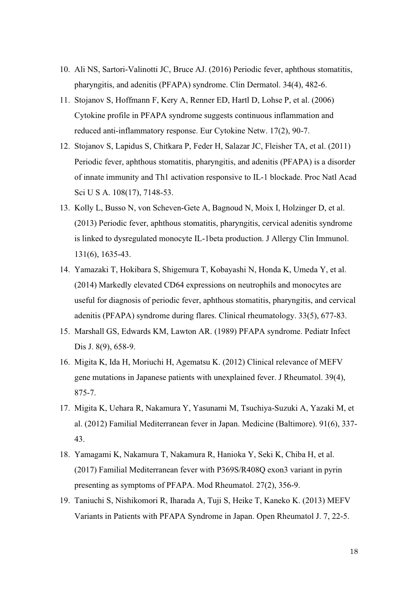- 10. Ali NS, Sartori-Valinotti JC, Bruce AJ. (2016) Periodic fever, aphthous stomatitis, pharyngitis, and adenitis (PFAPA) syndrome. Clin Dermatol. 34(4), 482-6.
- 11. Stojanov S, Hoffmann F, Kery A, Renner ED, Hartl D, Lohse P, et al. (2006) Cytokine profile in PFAPA syndrome suggests continuous inflammation and reduced anti-inflammatory response. Eur Cytokine Netw. 17(2), 90-7.
- 12. Stojanov S, Lapidus S, Chitkara P, Feder H, Salazar JC, Fleisher TA, et al. (2011) Periodic fever, aphthous stomatitis, pharyngitis, and adenitis (PFAPA) is a disorder of innate immunity and Th1 activation responsive to IL-1 blockade. Proc Natl Acad Sci U S A. 108(17), 7148-53.
- 13. Kolly L, Busso N, von Scheven-Gete A, Bagnoud N, Moix I, Holzinger D, et al. (2013) Periodic fever, aphthous stomatitis, pharyngitis, cervical adenitis syndrome is linked to dysregulated monocyte IL-1beta production. J Allergy Clin Immunol. 131(6), 1635-43.
- 14. Yamazaki T, Hokibara S, Shigemura T, Kobayashi N, Honda K, Umeda Y, et al. (2014) Markedly elevated CD64 expressions on neutrophils and monocytes are useful for diagnosis of periodic fever, aphthous stomatitis, pharyngitis, and cervical adenitis (PFAPA) syndrome during flares. Clinical rheumatology. 33(5), 677-83.
- 15. Marshall GS, Edwards KM, Lawton AR. (1989) PFAPA syndrome. Pediatr Infect Dis J. 8(9), 658-9.
- 16. Migita K, Ida H, Moriuchi H, Agematsu K. (2012) Clinical relevance of MEFV gene mutations in Japanese patients with unexplained fever. J Rheumatol. 39(4), 875-7.
- 17. Migita K, Uehara R, Nakamura Y, Yasunami M, Tsuchiya-Suzuki A, Yazaki M, et al. (2012) Familial Mediterranean fever in Japan. Medicine (Baltimore). 91(6), 337- 43.
- 18. Yamagami K, Nakamura T, Nakamura R, Hanioka Y, Seki K, Chiba H, et al. (2017) Familial Mediterranean fever with P369S/R408Q exon3 variant in pyrin presenting as symptoms of PFAPA. Mod Rheumatol. 27(2), 356-9.
- 19. Taniuchi S, Nishikomori R, Iharada A, Tuji S, Heike T, Kaneko K. (2013) MEFV Variants in Patients with PFAPA Syndrome in Japan. Open Rheumatol J. 7, 22-5.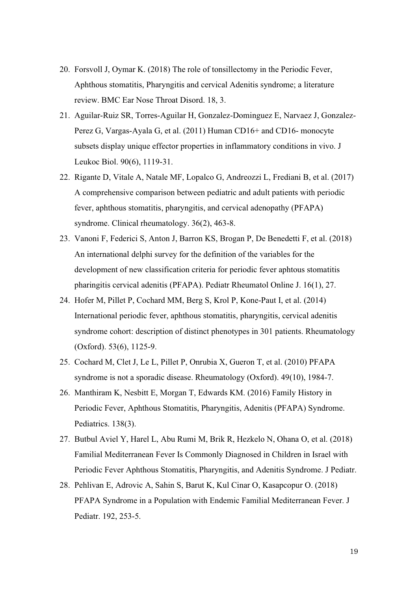- 20. Forsvoll J, Oymar K. (2018) The role of tonsillectomy in the Periodic Fever, Aphthous stomatitis, Pharyngitis and cervical Adenitis syndrome; a literature review. BMC Ear Nose Throat Disord. 18, 3.
- 21. Aguilar-Ruiz SR, Torres-Aguilar H, Gonzalez-Dominguez E, Narvaez J, Gonzalez-Perez G, Vargas-Ayala G, et al. (2011) Human CD16+ and CD16- monocyte subsets display unique effector properties in inflammatory conditions in vivo. J Leukoc Biol. 90(6), 1119-31.
- 22. Rigante D, Vitale A, Natale MF, Lopalco G, Andreozzi L, Frediani B, et al. (2017) A comprehensive comparison between pediatric and adult patients with periodic fever, aphthous stomatitis, pharyngitis, and cervical adenopathy (PFAPA) syndrome. Clinical rheumatology. 36(2), 463-8.
- 23. Vanoni F, Federici S, Anton J, Barron KS, Brogan P, De Benedetti F, et al. (2018) An international delphi survey for the definition of the variables for the development of new classification criteria for periodic fever aphtous stomatitis pharingitis cervical adenitis (PFAPA). Pediatr Rheumatol Online J. 16(1), 27.
- 24. Hofer M, Pillet P, Cochard MM, Berg S, Krol P, Kone-Paut I, et al. (2014) International periodic fever, aphthous stomatitis, pharyngitis, cervical adenitis syndrome cohort: description of distinct phenotypes in 301 patients. Rheumatology (Oxford). 53(6), 1125-9.
- 25. Cochard M, Clet J, Le L, Pillet P, Onrubia X, Gueron T, et al. (2010) PFAPA syndrome is not a sporadic disease. Rheumatology (Oxford). 49(10), 1984-7.
- 26. Manthiram K, Nesbitt E, Morgan T, Edwards KM. (2016) Family History in Periodic Fever, Aphthous Stomatitis, Pharyngitis, Adenitis (PFAPA) Syndrome. Pediatrics. 138(3).
- 27. Butbul Aviel Y, Harel L, Abu Rumi M, Brik R, Hezkelo N, Ohana O, et al. (2018) Familial Mediterranean Fever Is Commonly Diagnosed in Children in Israel with Periodic Fever Aphthous Stomatitis, Pharyngitis, and Adenitis Syndrome. J Pediatr.
- 28. Pehlivan E, Adrovic A, Sahin S, Barut K, Kul Cinar O, Kasapcopur O. (2018) PFAPA Syndrome in a Population with Endemic Familial Mediterranean Fever. J Pediatr. 192, 253-5.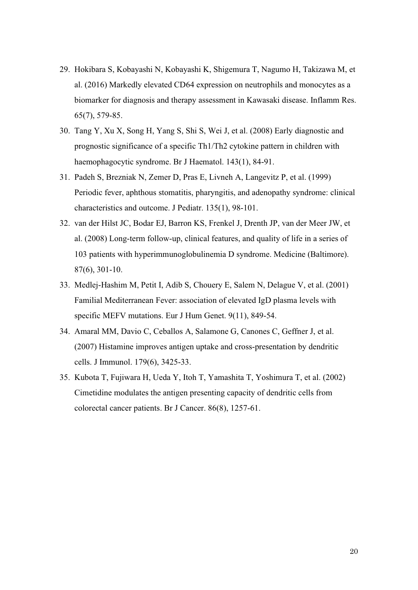- 29. Hokibara S, Kobayashi N, Kobayashi K, Shigemura T, Nagumo H, Takizawa M, et al. (2016) Markedly elevated CD64 expression on neutrophils and monocytes as a biomarker for diagnosis and therapy assessment in Kawasaki disease. Inflamm Res. 65(7), 579-85.
- 30. Tang Y, Xu X, Song H, Yang S, Shi S, Wei J, et al. (2008) Early diagnostic and prognostic significance of a specific Th1/Th2 cytokine pattern in children with haemophagocytic syndrome. Br J Haematol. 143(1), 84-91.
- 31. Padeh S, Brezniak N, Zemer D, Pras E, Livneh A, Langevitz P, et al. (1999) Periodic fever, aphthous stomatitis, pharyngitis, and adenopathy syndrome: clinical characteristics and outcome. J Pediatr. 135(1), 98-101.
- 32. van der Hilst JC, Bodar EJ, Barron KS, Frenkel J, Drenth JP, van der Meer JW, et al. (2008) Long-term follow-up, clinical features, and quality of life in a series of 103 patients with hyperimmunoglobulinemia D syndrome. Medicine (Baltimore). 87(6), 301-10.
- 33. Medlej-Hashim M, Petit I, Adib S, Chouery E, Salem N, Delague V, et al. (2001) Familial Mediterranean Fever: association of elevated IgD plasma levels with specific MEFV mutations. Eur J Hum Genet. 9(11), 849-54.
- 34. Amaral MM, Davio C, Ceballos A, Salamone G, Canones C, Geffner J, et al. (2007) Histamine improves antigen uptake and cross-presentation by dendritic cells. J Immunol. 179(6), 3425-33.
- 35. Kubota T, Fujiwara H, Ueda Y, Itoh T, Yamashita T, Yoshimura T, et al. (2002) Cimetidine modulates the antigen presenting capacity of dendritic cells from colorectal cancer patients. Br J Cancer. 86(8), 1257-61.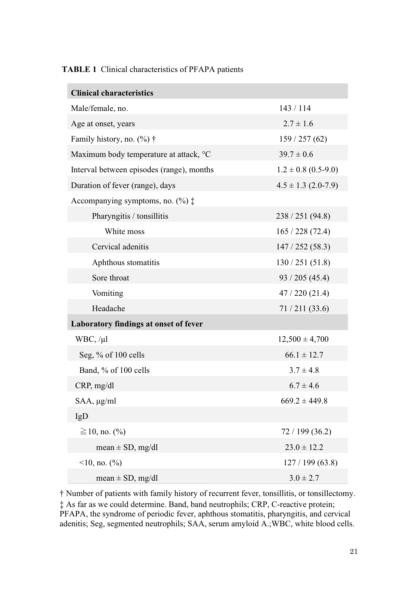| <b>Clinical characteristics</b>               |                         |  |
|-----------------------------------------------|-------------------------|--|
| Male/female, no.                              | 143/114                 |  |
| Age at onset, years                           | $2.7 \pm 1.6$           |  |
| Family history, no. $(\%) \dagger$            | 159/257(62)             |  |
| Maximum body temperature at attack, °C        | $39.7 \pm 0.6$          |  |
| Interval between episodes (range), months     | $1.2 \pm 0.8$ (0.5-9.0) |  |
| Duration of fever (range), days               | $4.5 \pm 1.3$ (2.0-7.9) |  |
| Accompanying symptoms, no. $(\% )$ $\ddagger$ |                         |  |
| Pharyngitis / tonsillitis                     | 238/251(94.8)           |  |
| White moss                                    | 165/228(72.4)           |  |
| Cervical adenitis                             | 147/252(58.3)           |  |
| Aphthous stomatitis                           | 130 / 251 (51.8)        |  |
| Sore throat                                   | 93 / 205 (45.4)         |  |
| Vomiting                                      | 47/220(21.4)            |  |
| Headache                                      | 71/211(33.6)            |  |
| Laboratory findings at onset of fever         |                         |  |
| WBC, /µl                                      | $12,500 \pm 4,700$      |  |
| Seg, % of 100 cells                           | $66.1 \pm 12.7$         |  |
| Band, % of 100 cells                          | $3.7 \pm 4.8$           |  |
| CRP, mg/dl                                    | $6.7 \pm 4.6$           |  |
| $SAA$ , $\mu$ g/ml                            | $669.2 \pm 449.8$       |  |
| IgD                                           |                         |  |
| $\geq$ 10, no. (%)                            | 72/199(36.2)            |  |
| mean $\pm$ SD, mg/dl                          | $23.0 \pm 12.2$         |  |
| $10$ , no. $\binom{0}{0}$                     | 127/199(63.8)           |  |
| mean $\pm$ SD, mg/dl                          | $3.0 \pm 2.7$           |  |

† Number of patients with family history of recurrent fever, tonsillitis, or tonsillectomy. ‡ As far as we could determine. Band, band neutrophils; CRP, C-reactive protein; PFAPA, the syndrome of periodic fever, aphthous stomatitis, pharyngitis, and cervical adenitis; Seg, segmented neutrophils; SAA, serum amyloid A.;WBC, white blood cells.

## 21

# TABLE 1 Clinical characteristics of PFAPA patients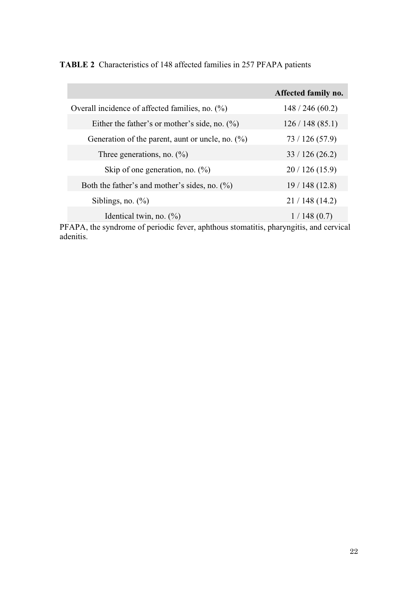|                                                     | Affected family no. |
|-----------------------------------------------------|---------------------|
| Overall incidence of affected families, no. $(\%)$  | 148/246(60.2)       |
| Either the father's or mother's side, no. $(\%)$    | 126/148(85.1)       |
| Generation of the parent, aunt or uncle, no. $(\%)$ | 73/126(57.9)        |
| Three generations, no. $(\% )$                      | 33/126(26.2)        |
| Skip of one generation, no. $(\%)$                  | 20/126(15.9)        |
| Both the father's and mother's sides, no. $(\%)$    | 19/148(12.8)        |
| Siblings, no. $(\%)$                                | 21/148(14.2)        |
| Identical twin, no. $(\%)$                          | 1/148(0.7)          |

TABLE 2 Characteristics of 148 affected families in 257 PFAPA patients

PFAPA, the syndrome of periodic fever, aphthous stomatitis, pharyngitis, and cervical adenitis.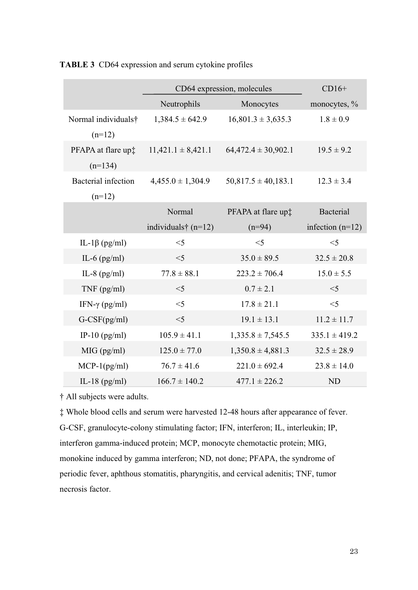|                            | CD64 expression, molecules   |                                | $CD16+$            |
|----------------------------|------------------------------|--------------------------------|--------------------|
|                            | Neutrophils                  | Monocytes                      | monocytes, $\%$    |
| Normal individuals†        | $1,384.5 \pm 642.9$          | $16,801.3 \pm 3,635.3$         | $1.8 \pm 0.9$      |
| $(n=12)$                   |                              |                                |                    |
| PFAPA at flare up:         | $11,421.1 \pm 8,421.1$       | $64,472.4 \pm 30,902.1$        | $19.5 \pm 9.2$     |
| $(n=134)$                  |                              |                                |                    |
| <b>Bacterial</b> infection | $4,455.0 \pm 1,304.9$        | $50,817.5 \pm 40,183.1$        | $12.3 \pm 3.4$     |
| $(n=12)$                   |                              |                                |                    |
|                            | Normal                       | PFAPA at flare up <sup>+</sup> | Bacterial          |
|                            | individuals $\dagger$ (n=12) | $(n=94)$                       | infection $(n=12)$ |
| IL-1 $\beta$ (pg/ml)       | $<$ 5                        | $<$ 5                          | $<$ 5              |
| IL-6 $(pg/ml)$             | $<$ 5                        | $35.0 \pm 89.5$                | $32.5 \pm 20.8$    |
| IL-8 $(pg/ml)$             | $77.8 \pm 88.1$              | $223.2 \pm 706.4$              | $15.0 \pm 5.5$     |
| $TNF$ (pg/ml)              | $<$ 5                        | $0.7 \pm 2.1$                  | $<$ 5              |
| IFN- $\gamma$ (pg/ml)      | $<$ 5                        | $17.8 \pm 21.1$                | $<$ 5              |
| $G-CSF(pg/ml)$             | $<$ 5                        | $19.1 \pm 13.1$                | $11.2 \pm 11.7$    |
| IP-10 $(pg/ml)$            | $105.9 \pm 41.1$             | $1,335.8 \pm 7,545.5$          | $335.1 \pm 419.2$  |
| MIG(pg/ml)                 | $125.0 \pm 77.0$             | $1,350.8 \pm 4,881.3$          | $32.5 \pm 28.9$    |
| $MCP-1(pg/ml)$             | $76.7 \pm 41.6$              | $221.0 \pm 692.4$              | $23.8 \pm 14.0$    |
| IL-18 $(pg/ml)$            | $166.7 \pm 140.2$            | $477.1 \pm 226.2$              | <b>ND</b>          |

TABLE 3 CD64 expression and serum cytokine profiles

† All subjects were adults.

‡ Whole blood cells and serum were harvested 12-48 hours after appearance of fever. G-CSF, granulocyte-colony stimulating factor; IFN, interferon; IL, interleukin; IP, interferon gamma-induced protein; MCP, monocyte chemotactic protein; MIG, monokine induced by gamma interferon; ND, not done; PFAPA, the syndrome of periodic fever, aphthous stomatitis, pharyngitis, and cervical adenitis; TNF, tumor necrosis factor.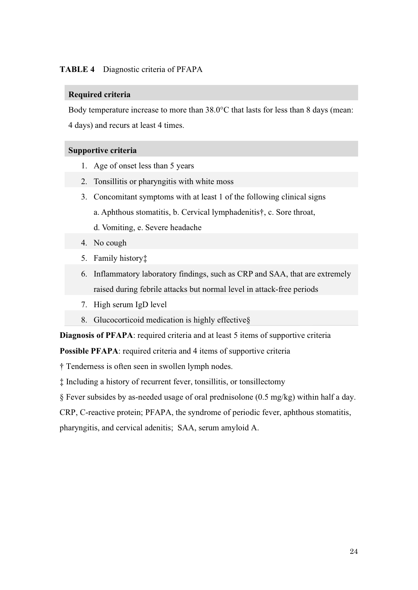# TABLE 4 Diagnostic criteria of PFAPA

### Required criteria

Body temperature increase to more than 38.0°C that lasts for less than 8 days (mean: 4 days) and recurs at least 4 times.

## Supportive criteria

- 1. Age of onset less than 5 years
- 2. Tonsillitis or pharyngitis with white moss
- 3. Concomitant symptoms with at least 1 of the following clinical signs a. Aphthous stomatitis, b. Cervical lymphadenitis†, c. Sore throat, d. Vomiting, e. Severe headache
- 4. No cough
- 5. Family history‡
- 6. Inflammatory laboratory findings, such as CRP and SAA, that are extremely raised during febrile attacks but normal level in attack-free periods
- 7. High serum IgD level
- 8. Glucocorticoid medication is highly effective §

Diagnosis of PFAPA: required criteria and at least 5 items of supportive criteria

Possible PFAPA: required criteria and 4 items of supportive criteria

† Tenderness is often seen in swollen lymph nodes.

‡ Including a history of recurrent fever, tonsillitis, or tonsillectomy

§ Fever subsides by as-needed usage of oral prednisolone (0.5 mg/kg) within half a day.

CRP, C-reactive protein; PFAPA, the syndrome of periodic fever, aphthous stomatitis,

pharyngitis, and cervical adenitis; SAA, serum amyloid A.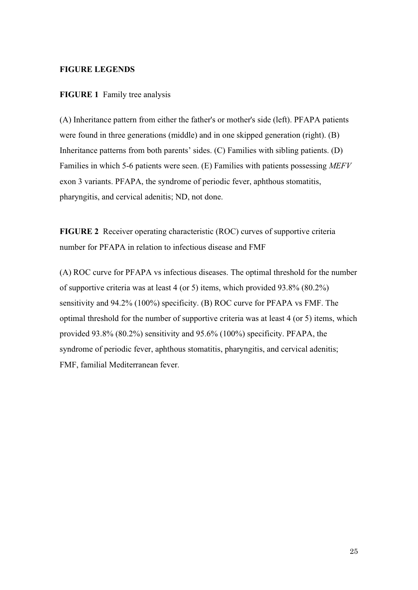## FIGURE LEGENDS

## FIGURE 1 Family tree analysis

(A) Inheritance pattern from either the father's or mother's side (left). PFAPA patients were found in three generations (middle) and in one skipped generation (right). (B) Inheritance patterns from both parents' sides. (C) Families with sibling patients. (D) Families in which 5-6 patients were seen. (E) Families with patients possessing MEFV exon 3 variants. PFAPA, the syndrome of periodic fever, aphthous stomatitis, pharyngitis, and cervical adenitis; ND, not done.

FIGURE 2 Receiver operating characteristic (ROC) curves of supportive criteria number for PFAPA in relation to infectious disease and FMF

(A) ROC curve for PFAPA vs infectious diseases. The optimal threshold for the number of supportive criteria was at least 4 (or 5) items, which provided 93.8% (80.2%) sensitivity and 94.2% (100%) specificity. (B) ROC curve for PFAPA vs FMF. The optimal threshold for the number of supportive criteria was at least 4 (or 5) items, which provided 93.8% (80.2%) sensitivity and 95.6% (100%) specificity. PFAPA, the syndrome of periodic fever, aphthous stomatitis, pharyngitis, and cervical adenitis; FMF, familial Mediterranean fever.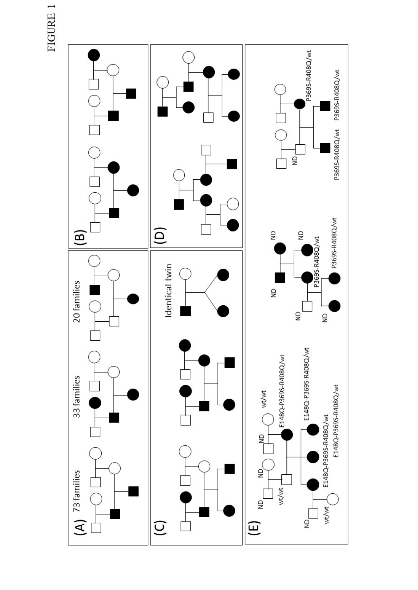FIGURE 1